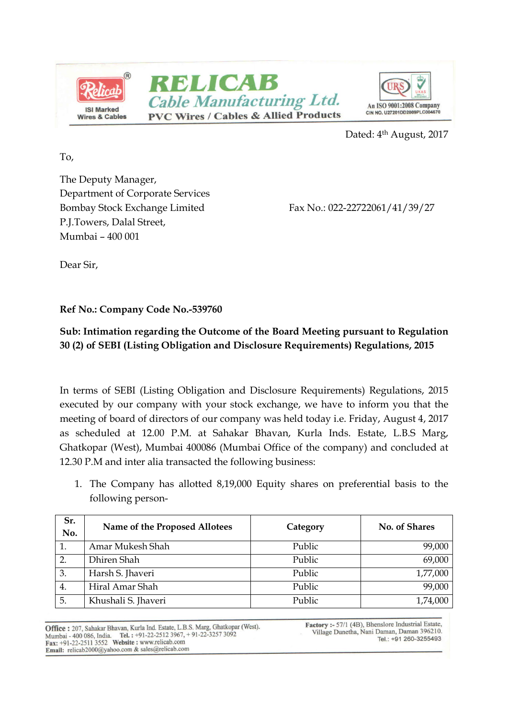



Dated: 4<sup>th</sup> August, 2017

To,

The Deputy Manager, Department of Corporate Services Bombay Stock Exchange Limited Fax No.: 022-22722061/41/39/27 P.J.Towers, Dalal Street, Mumbai – 400 001

Dear Sir,

Ref No.: Company Code No.-539760

## Sub: Intimation regarding the Outcome of the Board Meeting pursuant to Regulation 30 (2) of SEBI (Listing Obligation and Disclosure Requirements) Regulations, 2015

In terms of SEBI (Listing Obligation and Disclosure Requirements) Regulations, 2015 executed by our company with your stock exchange, we have to inform you that the meeting of board of directors of our company was held today i.e. Friday, August 4, 2017 as scheduled at 12.00 P.M. at Sahakar Bhavan, Kurla Inds. Estate, L.B.S Marg, Ghatkopar (West), Mumbai 400086 (Mumbai Office of the company) and concluded at 12.30 P.M and inter alia transacted the following business:

1. The Company has allotted 8,19,000 Equity shares on preferential basis to the following person-

| Sr.<br>No.       | Name of the Proposed Allotees | Category | No. of Shares |
|------------------|-------------------------------|----------|---------------|
|                  | Amar Mukesh Shah              | Public   | 99,000        |
| $\overline{2}$ . | Dhiren Shah                   | Public   | 69,000        |
| 3.               | Harsh S. Jhaveri              | Public   | 1,77,000      |
| 4.               | Hiral Amar Shah               | Public   | 99,000        |
| 5.               | Khushali S. Jhaveri           | Public   | 1,74,000      |

Office : 207, Sahakar Bhavan, Kurla Ind. Estate, L.B.S. Marg, Ghatkopar (West). Mumbai - 400 086, India. Tel. : +91-22-2512 3967, +91-22-3257 3092<br>Fax: +91-22-2511 3552 Website : www.relicab.com Email: relicab2000@yahoo.com & sales@relicab.com

Factory :- 57/1 (4B), Bhenslore Industrial Estate, Village Dunetha, Nani Daman, Daman 396210. Tel.: +91 260-3255493